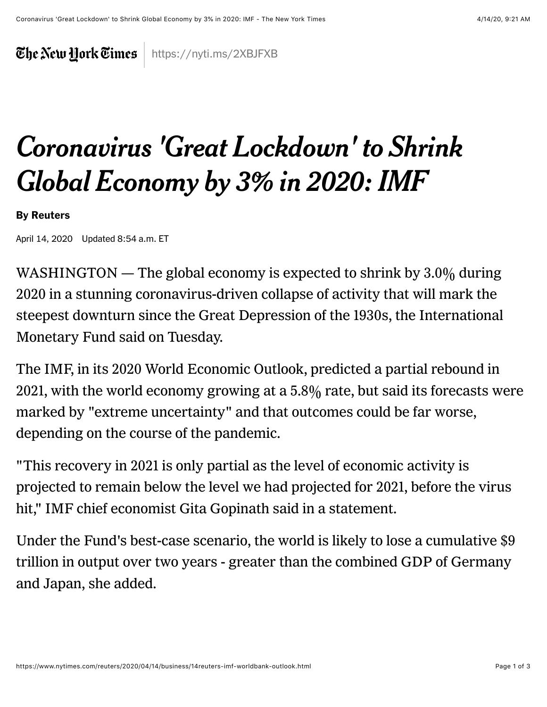The New York Times https://nyti.ms/2XBJFXB

## *Coronavirus 'Great Lockdown' to Shrink Global Economy by 3% in 2020: IMF*

## By Reuters

April 14, 2020 Updated 8:54 a.m. ET

WASHINGTON — The global economy is expected to shrink by  $3.0\%$  during 2020 in a stunning coronavirus-driven collapse of activity that will mark the steepest downturn since the Great Depression of the 1930s, the International Monetary Fund said on Tuesday.

The IMF, in its 2020 World Economic Outlook, predicted a partial rebound in 2021, with the world economy growing at a 5.8% rate, but said its forecasts were marked by "extreme uncertainty" and that outcomes could be far worse, depending on the course of the pandemic.

"This recovery in 2021 is only partial as the level of economic activity is projected to remain below the level we had projected for 2021, before the virus hit," IMF chief economist Gita Gopinath said in a statement.

Under the Fund's best-case scenario, the world is likely to lose a cumulative \$9 trillion in output over two years - greater than the combined GDP of Germany and Japan, she added.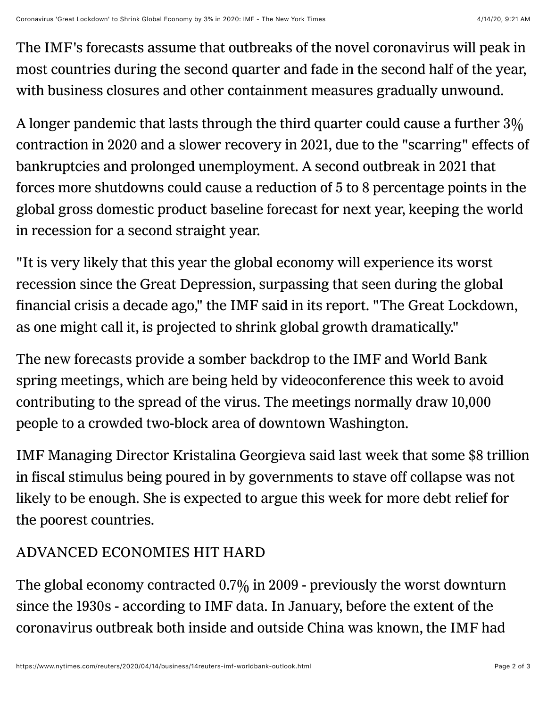The IMF's forecasts assume that outbreaks of the novel coronavirus will peak in most countries during the second quarter and fade in the second half of the year, with business closures and other containment measures gradually unwound.

A longer pandemic that lasts through the third quarter could cause a further 3% contraction in 2020 and a slower recovery in 2021, due to the "scarring" effects of bankruptcies and prolonged unemployment. A second outbreak in 2021 that forces more shutdowns could cause a reduction of 5 to 8 percentage points in the global gross domestic product baseline forecast for next year, keeping the world in recession for a second straight year.

"It is very likely that this year the global economy will experience its worst recession since the Great Depression, surpassing that seen during the global financial crisis a decade ago," the IMF said in its report. "The Great Lockdown, as one might call it, is projected to shrink global growth dramatically."

The new forecasts provide a somber backdrop to the IMF and World Bank spring meetings, which are being held by videoconference this week to avoid contributing to the spread of the virus. The meetings normally draw 10,000 people to a crowded two-block area of downtown Washington.

IMF Managing Director Kristalina Georgieva said last week that some \$8 trillion in fiscal stimulus being poured in by governments to stave off collapse was not likely to be enough. She is expected to argue this week for more debt relief for the poorest countries.

## ADVANCED ECONOMIES HIT HARD

The global economy contracted 0.7% in 2009 - previously the worst downturn since the 1930s - according to IMF data. In January, before the extent of the coronavirus outbreak both inside and outside China was known, the IMF had